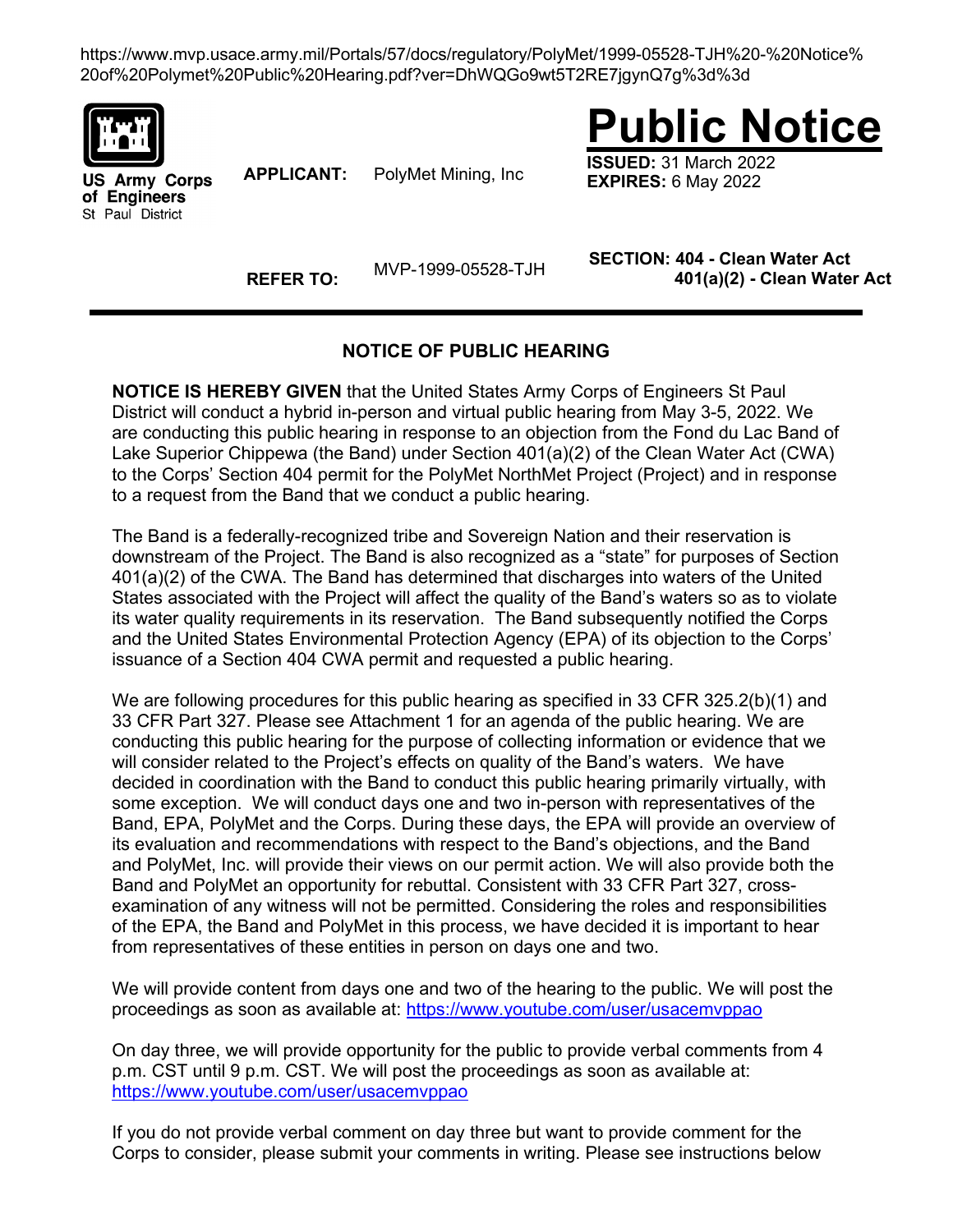https://www.mvp.usace.army.mil/Portals/57/docs/regulatory/PolyMet/1999-05528-TJH%20-%20Notice% 20of%20Polymet%20Public%20Hearing.pdf?ver=DhWQGo9wt5T2RE7jgynQ7g%3d%3d



**US Army Corps** of Engineers St Paul District

**APPLICANT:** PolyMet Mining, Inc

**Public Notice**

**ISSUED:** 31 March 2022 **EXPIRES:** 6 May 2022

**REFER TO:** MVP-1999-05528-TJH **SECTION: 404 - Clean Water Act 401(a)(2) - Clean Water Act**

## **NOTICE OF PUBLIC HEARING**

**NOTICE IS HEREBY GIVEN** that the United States Army Corps of Engineers St Paul District will conduct a hybrid in-person and virtual public hearing from May 3-5, 2022. We are conducting this public hearing in response to an objection from the Fond du Lac Band of Lake Superior Chippewa (the Band) under Section 401(a)(2) of the Clean Water Act (CWA) to the Corps' Section 404 permit for the PolyMet NorthMet Project (Project) and in response to a request from the Band that we conduct a public hearing.

The Band is a federally-recognized tribe and Sovereign Nation and their reservation is downstream of the Project. The Band is also recognized as a "state" for purposes of Section 401(a)(2) of the CWA. The Band has determined that discharges into waters of the United States associated with the Project will affect the quality of the Band's waters so as to violate its water quality requirements in its reservation. The Band subsequently notified the Corps and the United States Environmental Protection Agency (EPA) of its objection to the Corps' issuance of a Section 404 CWA permit and requested a public hearing.

We are following procedures for this public hearing as specified in 33 CFR 325.2(b)(1) and 33 CFR Part 327. Please see Attachment 1 for an agenda of the public hearing. We are conducting this public hearing for the purpose of collecting information or evidence that we will consider related to the Project's effects on quality of the Band's waters. We have decided in coordination with the Band to conduct this public hearing primarily virtually, with some exception. We will conduct days one and two in-person with representatives of the Band, EPA, PolyMet and the Corps. During these days, the EPA will provide an overview of its evaluation and recommendations with respect to the Band's objections, and the Band and PolyMet, Inc. will provide their views on our permit action. We will also provide both the Band and PolyMet an opportunity for rebuttal. Consistent with 33 CFR Part 327, crossexamination of any witness will not be permitted. Considering the roles and responsibilities of the EPA, the Band and PolyMet in this process, we have decided it is important to hear from representatives of these entities in person on days one and two.

We will provide content from days one and two of the hearing to the public. We will post the proceedings as soon as available at:<https://www.youtube.com/user/usacemvppao>

On day three, we will provide opportunity for the public to provide verbal comments from 4 p.m. CST until 9 p.m. CST. We will post the proceedings as soon as available at: <https://www.youtube.com/user/usacemvppao>

If you do not provide verbal comment on day three but want to provide comment for the Corps to consider, please submit your comments in writing. Please see instructions below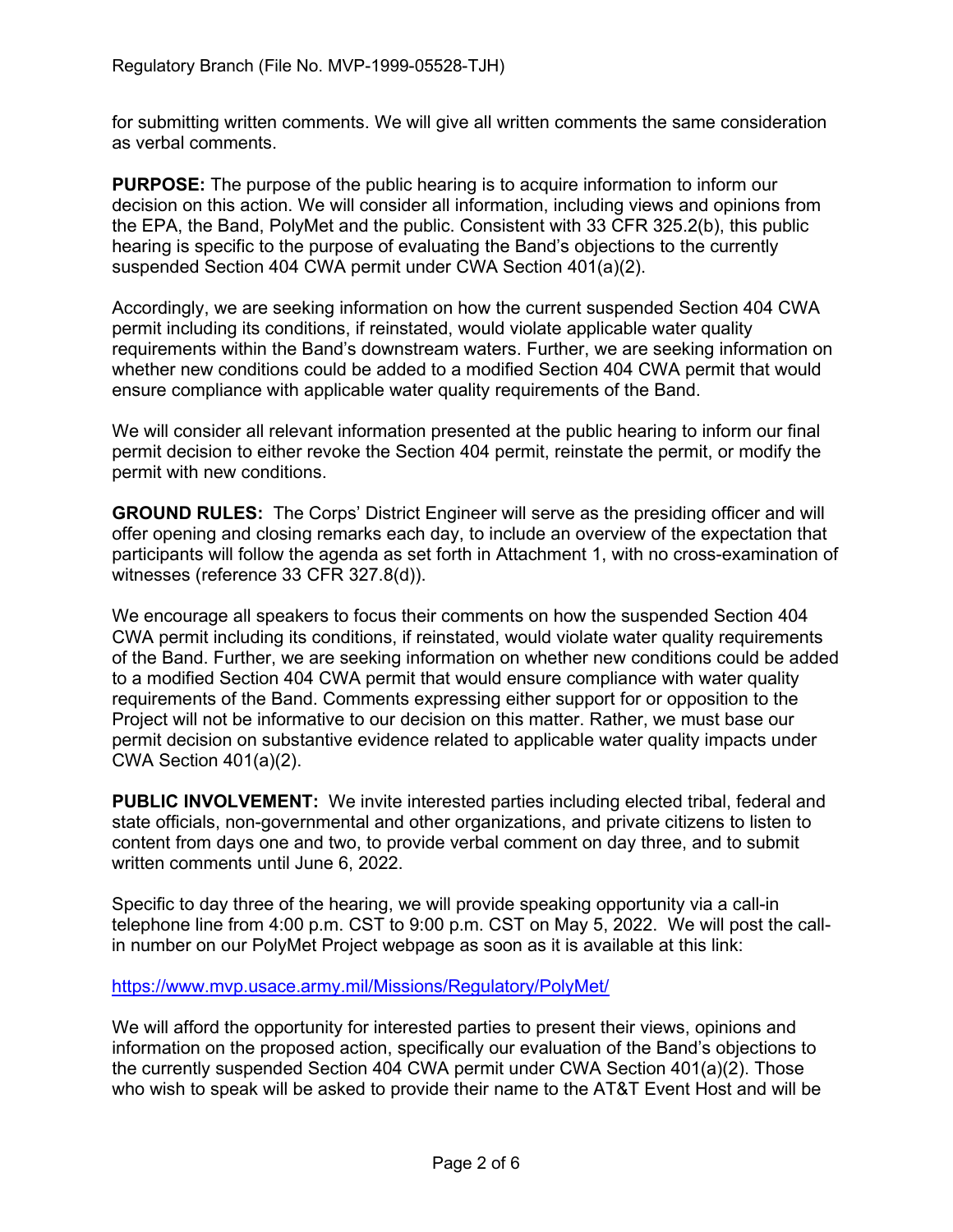for submitting written comments. We will give all written comments the same consideration as verbal comments.

**PURPOSE:** The purpose of the public hearing is to acquire information to inform our decision on this action. We will consider all information, including views and opinions from the EPA, the Band, PolyMet and the public. Consistent with 33 CFR 325.2(b), this public hearing is specific to the purpose of evaluating the Band's objections to the currently suspended Section 404 CWA permit under CWA Section 401(a)(2).

Accordingly, we are seeking information on how the current suspended Section 404 CWA permit including its conditions, if reinstated, would violate applicable water quality requirements within the Band's downstream waters. Further, we are seeking information on whether new conditions could be added to a modified Section 404 CWA permit that would ensure compliance with applicable water quality requirements of the Band.

We will consider all relevant information presented at the public hearing to inform our final permit decision to either revoke the Section 404 permit, reinstate the permit, or modify the permit with new conditions.

**GROUND RULES:** The Corps' District Engineer will serve as the presiding officer and will offer opening and closing remarks each day, to include an overview of the expectation that participants will follow the agenda as set forth in Attachment 1, with no cross-examination of witnesses (reference 33 CFR 327.8(d)).

We encourage all speakers to focus their comments on how the suspended Section 404 CWA permit including its conditions, if reinstated, would violate water quality requirements of the Band. Further, we are seeking information on whether new conditions could be added to a modified Section 404 CWA permit that would ensure compliance with water quality requirements of the Band. Comments expressing either support for or opposition to the Project will not be informative to our decision on this matter. Rather, we must base our permit decision on substantive evidence related to applicable water quality impacts under CWA Section 401(a)(2).

**PUBLIC INVOLVEMENT:** We invite interested parties including elected tribal, federal and state officials, non-governmental and other organizations, and private citizens to listen to content from days one and two, to provide verbal comment on day three, and to submit written comments until June 6, 2022.

Specific to day three of the hearing, we will provide speaking opportunity via a call-in telephone line from 4:00 p.m. CST to 9:00 p.m. CST on May 5, 2022. We will post the callin number on our PolyMet Project webpage as soon as it is available at this link:

<https://www.mvp.usace.army.mil/Missions/Regulatory/PolyMet/>

We will afford the opportunity for interested parties to present their views, opinions and information on the proposed action, specifically our evaluation of the Band's objections to the currently suspended Section 404 CWA permit under CWA Section 401(a)(2). Those who wish to speak will be asked to provide their name to the AT&T Event Host and will be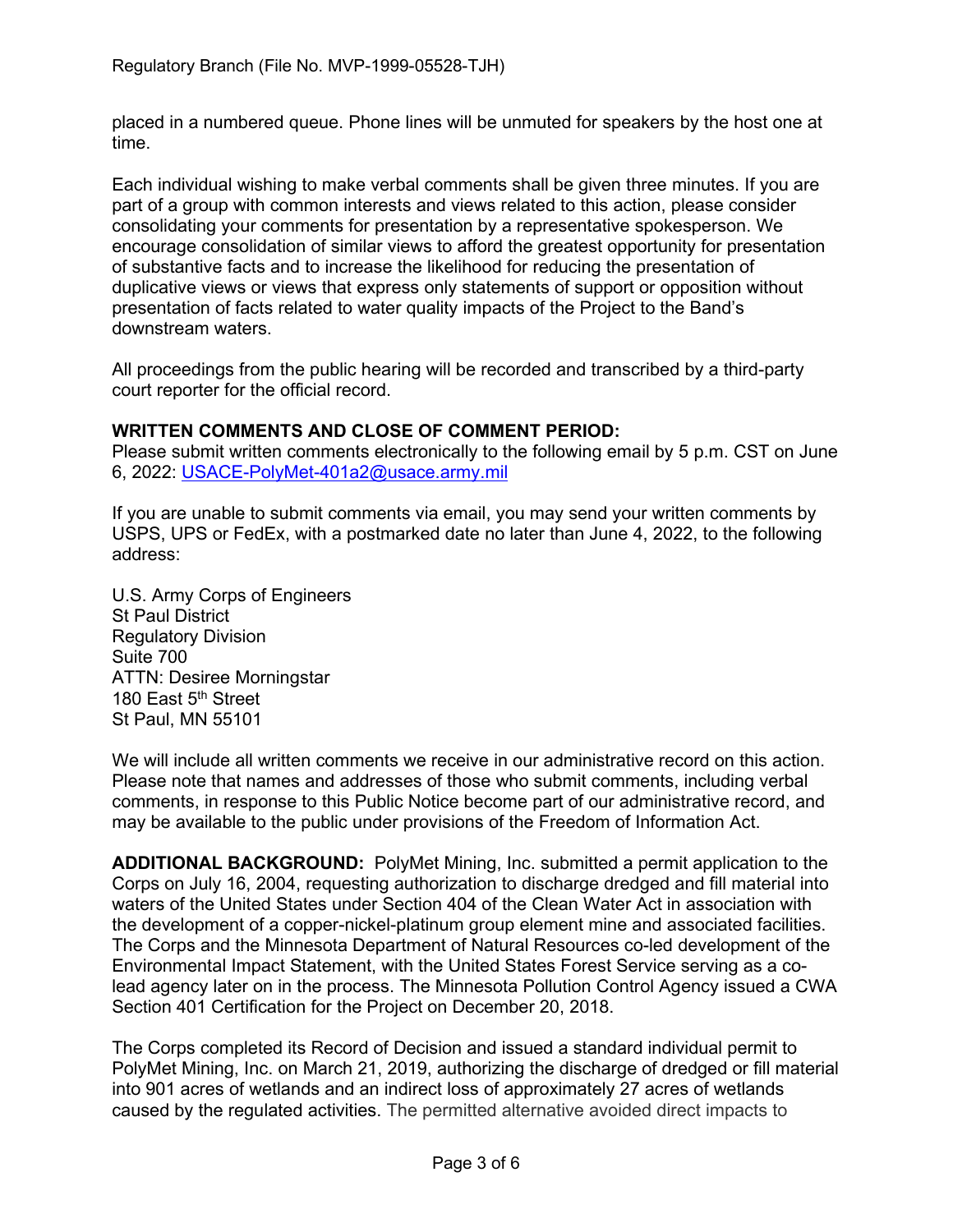placed in a numbered queue. Phone lines will be unmuted for speakers by the host one at time.

Each individual wishing to make verbal comments shall be given three minutes. If you are part of a group with common interests and views related to this action, please consider consolidating your comments for presentation by a representative spokesperson. We encourage consolidation of similar views to afford the greatest opportunity for presentation of substantive facts and to increase the likelihood for reducing the presentation of duplicative views or views that express only statements of support or opposition without presentation of facts related to water quality impacts of the Project to the Band's downstream waters.

All proceedings from the public hearing will be recorded and transcribed by a third-party court reporter for the official record.

## **WRITTEN COMMENTS AND CLOSE OF COMMENT PERIOD:**

Please submit written comments electronically to the following email by 5 p.m. CST on June 6, 2022: [USACE-PolyMet-401a2@usace.army.mil](mailto:USACE-PolyMet-401a2@usace.army.mil)

If you are unable to submit comments via email, you may send your written comments by USPS, UPS or FedEx, with a postmarked date no later than June 4, 2022, to the following address:

U.S. Army Corps of Engineers St Paul District Regulatory Division Suite 700 ATTN: Desiree Morningstar 180 East 5<sup>th</sup> Street St Paul, MN 55101

We will include all written comments we receive in our administrative record on this action. Please note that names and addresses of those who submit comments, including verbal comments, in response to this Public Notice become part of our administrative record, and may be available to the public under provisions of the Freedom of Information Act.

**ADDITIONAL BACKGROUND:** PolyMet Mining, Inc. submitted a permit application to the Corps on July 16, 2004, requesting authorization to discharge dredged and fill material into waters of the United States under Section 404 of the Clean Water Act in association with the development of a copper-nickel-platinum group element mine and associated facilities. The Corps and the Minnesota Department of Natural Resources co-led development of the Environmental Impact Statement, with the United States Forest Service serving as a colead agency later on in the process. The Minnesota Pollution Control Agency issued a CWA Section 401 Certification for the Project on December 20, 2018.

The Corps completed its Record of Decision and issued a standard individual permit to PolyMet Mining, Inc. on March 21, 2019, authorizing the discharge of dredged or fill material into 901 acres of wetlands and an indirect loss of approximately 27 acres of wetlands caused by the regulated activities. The permitted alternative avoided direct impacts to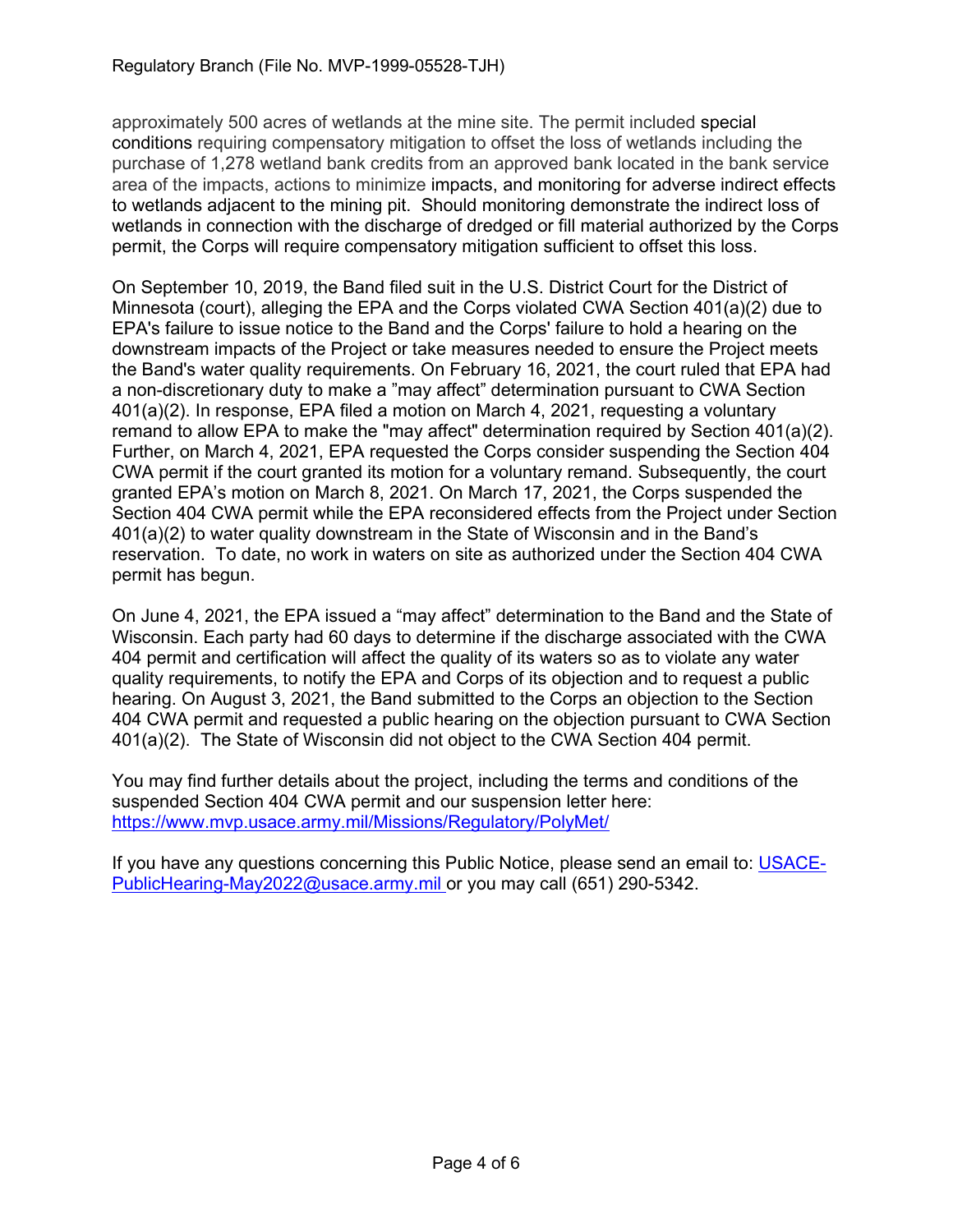approximately 500 acres of wetlands at the mine site. The permit included special conditions requiring compensatory mitigation to offset the loss of wetlands including the purchase of 1,278 wetland bank credits from an approved bank located in the bank service area of the impacts, actions to minimize impacts, and monitoring for adverse indirect effects to wetlands adjacent to the mining pit. Should monitoring demonstrate the indirect loss of wetlands in connection with the discharge of dredged or fill material authorized by the Corps permit, the Corps will require compensatory mitigation sufficient to offset this loss.

On September 10, 2019, the Band filed suit in the U.S. District Court for the District of Minnesota (court), alleging the EPA and the Corps violated CWA Section 401(a)(2) due to EPA's failure to issue notice to the Band and the Corps' failure to hold a hearing on the downstream impacts of the Project or take measures needed to ensure the Project meets the Band's water quality requirements. On February 16, 2021, the court ruled that EPA had a non-discretionary duty to make a "may affect" determination pursuant to CWA Section 401(a)(2). In response, EPA filed a motion on March 4, 2021, requesting a voluntary remand to allow EPA to make the "may affect" determination required by Section 401(a)(2). Further, on March 4, 2021, EPA requested the Corps consider suspending the Section 404 CWA permit if the court granted its motion for a voluntary remand. Subsequently, the court granted EPA's motion on March 8, 2021. On March 17, 2021, the Corps suspended the Section 404 CWA permit while the EPA reconsidered effects from the Project under Section 401(a)(2) to water quality downstream in the State of Wisconsin and in the Band's reservation. To date, no work in waters on site as authorized under the Section 404 CWA permit has begun.

On June 4, 2021, the EPA issued a "may affect" determination to the Band and the State of Wisconsin. Each party had 60 days to determine if the discharge associated with the CWA 404 permit and certification will affect the quality of its waters so as to violate any water quality requirements, to notify the EPA and Corps of its objection and to request a public hearing. On August 3, 2021, the Band submitted to the Corps an objection to the Section 404 CWA permit and requested a public hearing on the objection pursuant to CWA Section 401(a)(2). The State of Wisconsin did not object to the CWA Section 404 permit.

You may find further details about the project, including the terms and conditions of the suspended Section 404 CWA permit and our suspension letter here: <https://www.mvp.usace.army.mil/Missions/Regulatory/PolyMet/>

If you have any questions concerning this Public Notice, please send an email to: [USACE-](mailto:USACE-PublicHearing-May2022@usace.army.mil)[PublicHearing-May2022@usace.army.mil](mailto:USACE-PublicHearing-May2022@usace.army.mil) or you may call (651) 290-5342.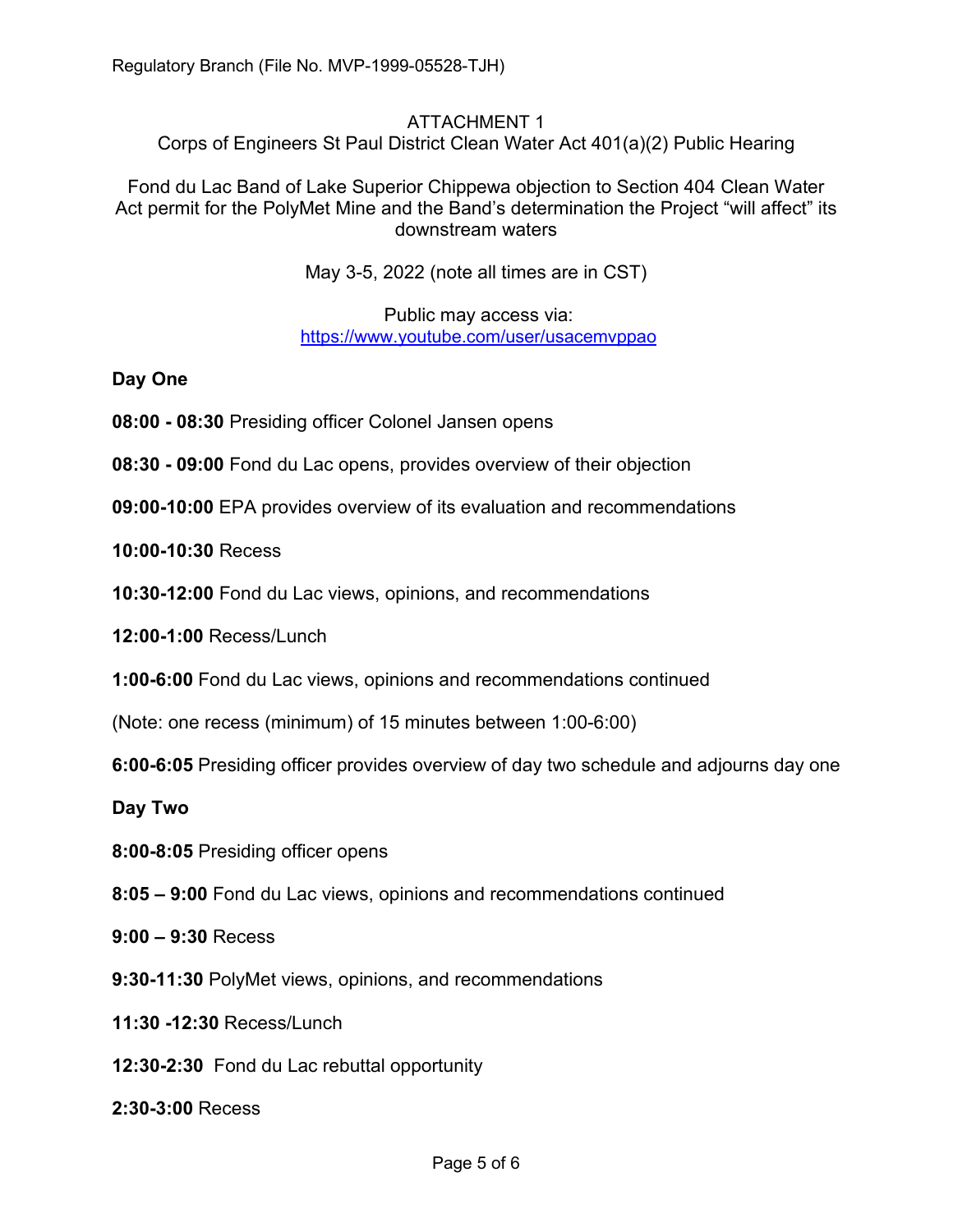## ATTACHMENT 1

Corps of Engineers St Paul District Clean Water Act 401(a)(2) Public Hearing

Fond du Lac Band of Lake Superior Chippewa objection to Section 404 Clean Water Act permit for the PolyMet Mine and the Band's determination the Project "will affect" its downstream waters

May 3-5, 2022 (note all times are in CST)

Public may access via: <https://www.youtube.com/user/usacemvppao>

**Day One**

- **08:00 - 08:30** Presiding officer Colonel Jansen opens
- **08:30 - 09:00** Fond du Lac opens, provides overview of their objection
- **09:00-10:00** EPA provides overview of its evaluation and recommendations
- **10:00-10:30** Recess
- **10:30-12:00** Fond du Lac views, opinions, and recommendations

**12:00-1:00** Recess/Lunch

- **1:00-6:00** Fond du Lac views, opinions and recommendations continued
- (Note: one recess (minimum) of 15 minutes between 1:00-6:00)
- **6:00-6:05** Presiding officer provides overview of day two schedule and adjourns day one

**Day Two**

- **8:00-8:05** Presiding officer opens
- **8:05 – 9:00** Fond du Lac views, opinions and recommendations continued
- **9:00 – 9:30** Recess
- **9:30-11:30** PolyMet views, opinions, and recommendations
- **11:30 -12:30** Recess/Lunch
- **12:30-2:30** Fond du Lac rebuttal opportunity
- **2:30-3:00** Recess